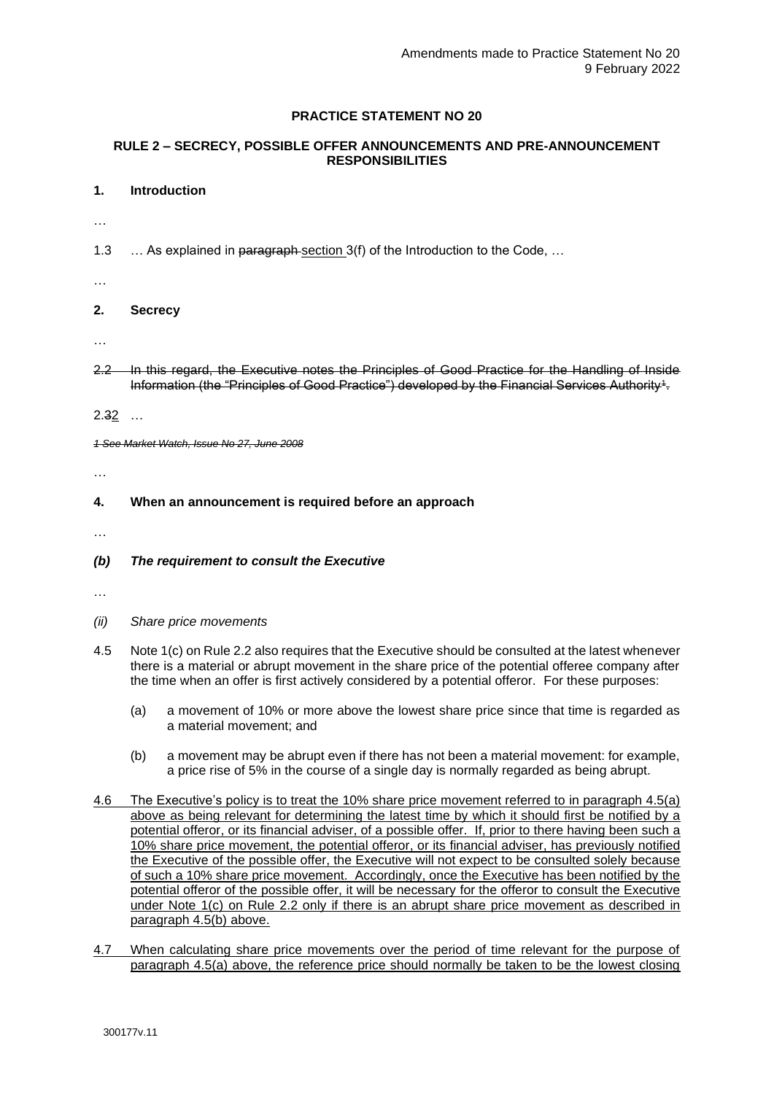# **PRACTICE STATEMENT NO 20**

## **RULE 2 – SECRECY, POSSIBLE OFFER ANNOUNCEMENTS AND PRE-ANNOUNCEMENT RESPONSIBILITIES**

#### **1. Introduction**

- …
- 1.3 ... As explained in paragraph section 3(f) of the Introduction to the Code, ...
- …

# **2. Secrecy**

- …
- 2.2 In this regard, the Executive notes the Principles of Good Practice for the Handling of Inside Information (the "Principles of Good Practice") developed by the Financial Services Authority $^{\rm 4}$ .

2.32 …

*1 See Market Watch, Issue No 27, June 2008*

…

#### **4. When an announcement is required before an approach**

…

# *(b) The requirement to consult the Executive*

- …
- *(ii) Share price movements*
- 4.5 Note 1(c) on Rule 2.2 also requires that the Executive should be consulted at the latest whenever there is a material or abrupt movement in the share price of the potential offeree company after the time when an offer is first actively considered by a potential offeror. For these purposes:
	- (a) a movement of 10% or more above the lowest share price since that time is regarded as a material movement; and
	- (b) a movement may be abrupt even if there has not been a material movement: for example, a price rise of 5% in the course of a single day is normally regarded as being abrupt.
- 4.6 The Executive's policy is to treat the 10% share price movement referred to in paragraph 4.5(a) above as being relevant for determining the latest time by which it should first be notified by a potential offeror, or its financial adviser, of a possible offer. If, prior to there having been such a 10% share price movement, the potential offeror, or its financial adviser, has previously notified the Executive of the possible offer, the Executive will not expect to be consulted solely because of such a 10% share price movement. Accordingly, once the Executive has been notified by the potential offeror of the possible offer, it will be necessary for the offeror to consult the Executive under Note 1(c) on Rule 2.2 only if there is an abrupt share price movement as described in paragraph 4.5(b) above.
- 4.7 When calculating share price movements over the period of time relevant for the purpose of paragraph 4.5(a) above, the reference price should normally be taken to be the lowest closing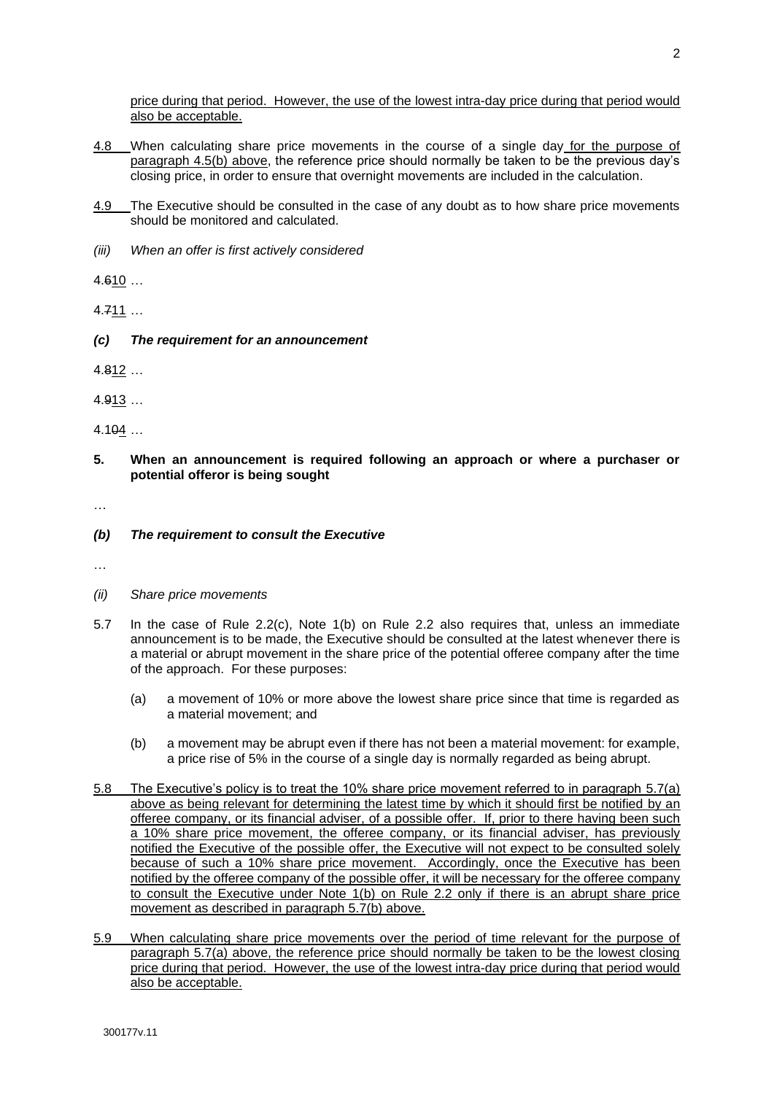price during that period. However, the use of the lowest intra-day price during that period would also be acceptable.

- 4.8 When calculating share price movements in the course of a single day for the purpose of paragraph 4.5(b) above, the reference price should normally be taken to be the previous day's closing price, in order to ensure that overnight movements are included in the calculation.
- 4.9 The Executive should be consulted in the case of any doubt as to how share price movements should be monitored and calculated.
- *(iii) When an offer is first actively considered*

4.610 …

4.711 …

*(c) The requirement for an announcement*

4.812 …

4.913 …

4.104 …

**5. When an announcement is required following an approach or where a purchaser or potential offeror is being sought**

…

#### *(b) The requirement to consult the Executive*

…

- *(ii) Share price movements*
- 5.7 In the case of Rule 2.2(c), Note 1(b) on Rule 2.2 also requires that, unless an immediate announcement is to be made, the Executive should be consulted at the latest whenever there is a material or abrupt movement in the share price of the potential offeree company after the time of the approach. For these purposes:
	- (a) a movement of 10% or more above the lowest share price since that time is regarded as a material movement; and
	- (b) a movement may be abrupt even if there has not been a material movement: for example, a price rise of 5% in the course of a single day is normally regarded as being abrupt.
- 5.8 The Executive's policy is to treat the 10% share price movement referred to in paragraph 5.7(a) above as being relevant for determining the latest time by which it should first be notified by an offeree company, or its financial adviser, of a possible offer. If, prior to there having been such a 10% share price movement, the offeree company, or its financial adviser, has previously notified the Executive of the possible offer, the Executive will not expect to be consulted solely because of such a 10% share price movement. Accordingly, once the Executive has been notified by the offeree company of the possible offer, it will be necessary for the offeree company to consult the Executive under Note 1(b) on Rule 2.2 only if there is an abrupt share price movement as described in paragraph 5.7(b) above.
- 5.9 When calculating share price movements over the period of time relevant for the purpose of paragraph 5.7(a) above, the reference price should normally be taken to be the lowest closing price during that period. However, the use of the lowest intra-day price during that period would also be acceptable.